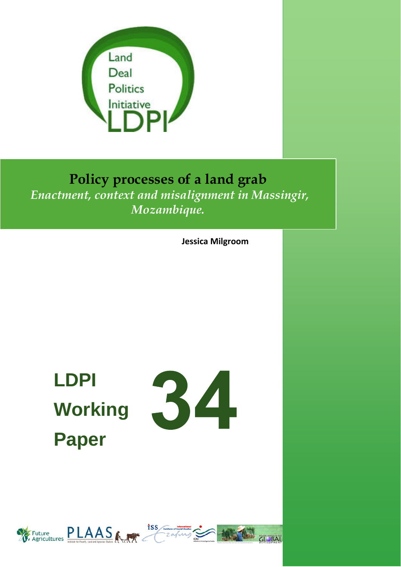

# **Policy processes of a land grab**  *Enactment, context and misalignment in Massingir, Mozambique.*

**Jessica Milgroom**

# **LDPI Working Paper**



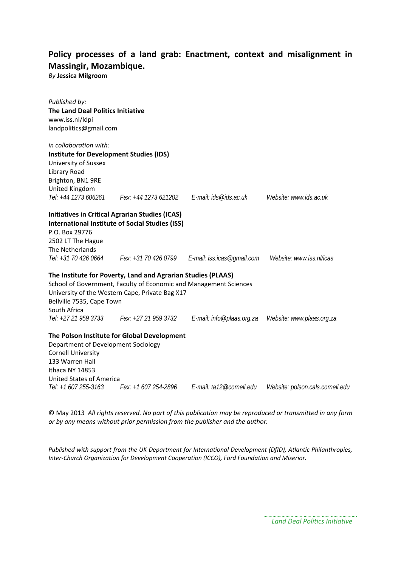# **Policy processes of a land grab: Enactment, context and misalignment in Massingir, Mozambique.**

*By* **Jessica Milgroom**

| Published by:<br><b>The Land Deal Politics Initiative</b><br>www.iss.nl/ldpi<br>landpolitics@gmail.com                                                                                                                            |                           |                                  |
|-----------------------------------------------------------------------------------------------------------------------------------------------------------------------------------------------------------------------------------|---------------------------|----------------------------------|
| in collaboration with:                                                                                                                                                                                                            |                           |                                  |
| <b>Institute for Development Studies (IDS)</b>                                                                                                                                                                                    |                           |                                  |
| University of Sussex<br>Library Road                                                                                                                                                                                              |                           |                                  |
| Brighton, BN1 9RE                                                                                                                                                                                                                 |                           |                                  |
| United Kingdom                                                                                                                                                                                                                    |                           |                                  |
| Tel: +44 1273 606261   Fax: +44 1273 621202   E-mail: ids@ids.ac.uk                                                                                                                                                               |                           | Website: www.ids.ac.uk           |
| <b>Initiatives in Critical Agrarian Studies (ICAS)</b>                                                                                                                                                                            |                           |                                  |
| <b>International Institute of Social Studies (ISS)</b>                                                                                                                                                                            |                           |                                  |
| P.O. Box 29776                                                                                                                                                                                                                    |                           |                                  |
| 2502 LT The Hague                                                                                                                                                                                                                 |                           |                                  |
| The Netherlands<br>Tel: +31 70 426 0664                                                                                                                                                                                           |                           |                                  |
|                                                                                                                                                                                                                                   |                           | Website: www.iss.nl/icas         |
| The Institute for Poverty, Land and Agrarian Studies (PLAAS)<br>School of Government, Faculty of Economic and Management Sciences<br>University of the Western Cape, Private Bag X17<br>Bellville 7535, Cape Town<br>South Africa |                           |                                  |
| Tel: +27 21 959 3733<br>Fax: +27 21 959 3732                                                                                                                                                                                      | E-mail: info@plaas.org.za | Website: www.plaas.org.za        |
| The Polson Institute for Global Development<br>Department of Development Sociology<br><b>Cornell University</b><br>133 Warren Hall<br>Ithaca NY 14853<br><b>United States of America</b>                                          |                           |                                  |
| Tel: +1 607 255-3163<br>Fax: +1 607 254-2896                                                                                                                                                                                      | E-mail: ta12@cornell.edu  | Website: polson.cals.cornell.edu |

© May 2013 *All rights reserved. No part of this publication may be reproduced or transmitted in any form or by any means without prior permission from the publisher and the author.*

*Published with support from the UK Department for International Development (DfID), Atlantic Philanthropies, Inter‐Church Organization for Development Cooperation (ICCO), Ford Foundation and Miserior.*

*Land Deal Politics Initiative*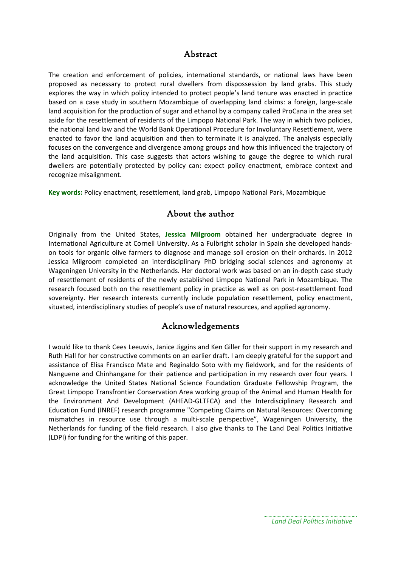#### Abstract

The creation and enforcement of policies, international standards, or national laws have been proposed as necessary to protect rural dwellers from dispossession by land grabs. This study explores the way in which policy intended to protect people's land tenure was enacted in practice based on a case study in southern Mozambique of overlapping land claims: a foreign, large‐scale land acquisition for the production of sugar and ethanol by a company called ProCana in the area set aside for the resettlement of residents of the Limpopo National Park. The way in which two policies, the national land law and the World Bank Operational Procedure for Involuntary Resettlement, were enacted to favor the land acquisition and then to terminate it is analyzed. The analysis especially focuses on the convergence and divergence among groups and how this influenced the trajectory of the land acquisition. This case suggests that actors wishing to gauge the degree to which rural dwellers are potentially protected by policy can: expect policy enactment, embrace context and recognize misalignment.

**Key words:** Policy enactment, resettlement, land grab, Limpopo National Park, Mozambique

#### About the author

Originally from the United States, **Jessica Milgroom** obtained her undergraduate degree in International Agriculture at Cornell University. As a Fulbright scholar in Spain she developed hands‐ on tools for organic olive farmers to diagnose and manage soil erosion on their orchards. In 2012 Jessica Milgroom completed an interdisciplinary PhD bridging social sciences and agronomy at Wageningen University in the Netherlands. Her doctoral work was based on an in‐depth case study of resettlement of residents of the newly established Limpopo National Park in Mozambique. The research focused both on the resettlement policy in practice as well as on post-resettlement food sovereignty. Her research interests currently include population resettlement, policy enactment, situated, interdisciplinary studies of people's use of natural resources, and applied agronomy.

### Acknowledgements

I would like to thank Cees Leeuwis, Janice Jiggins and Ken Giller for their support in my research and Ruth Hall for her constructive comments on an earlier draft. I am deeply grateful for the support and assistance of Elisa Francisco Mate and Reginaldo Soto with my fieldwork, and for the residents of Nanguene and Chinhangane for their patience and participation in my research over four years. I acknowledge the United States National Science Foundation Graduate Fellowship Program, the Great Limpopo Transfrontier Conservation Area working group of the Animal and Human Health for the Environment And Development (AHEAD‐GLTFCA) and the Interdisciplinary Research and Education Fund (INREF) research programme "Competing Claims on Natural Resources: Overcoming mismatches in resource use through a multi‐scale perspective", Wageningen University, the Netherlands for funding of the field research. I also give thanks to The Land Deal Politics Initiative (LDPI) for funding for the writing of this paper.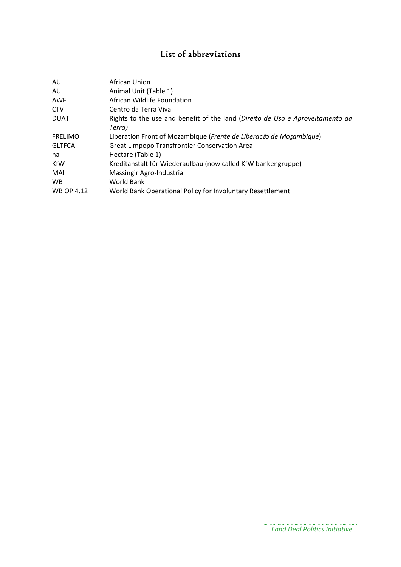# List of abbreviations

| AU                | African Union                                                                 |
|-------------------|-------------------------------------------------------------------------------|
| AU                | Animal Unit (Table 1)                                                         |
| <b>AWF</b>        | African Wildlife Foundation                                                   |
| <b>CTV</b>        | Centro da Terra Viva                                                          |
| <b>DUAT</b>       | Rights to the use and benefit of the land (Direito de Uso e Aproveitamento da |
|                   | Terra)                                                                        |
| <b>FRELIMO</b>    | Liberation Front of Mozambique (Frente de Liberacão de Moçambique)            |
| <b>GLTFCA</b>     | Great Limpopo Transfrontier Conservation Area                                 |
| ha                | Hectare (Table 1)                                                             |
| <b>KfW</b>        | Kreditanstalt für Wiederaufbau (now called KfW bankengruppe)                  |
| MAI               | Massingir Agro-Industrial                                                     |
| WB.               | World Bank                                                                    |
| <b>WB OP 4.12</b> | World Bank Operational Policy for Involuntary Resettlement                    |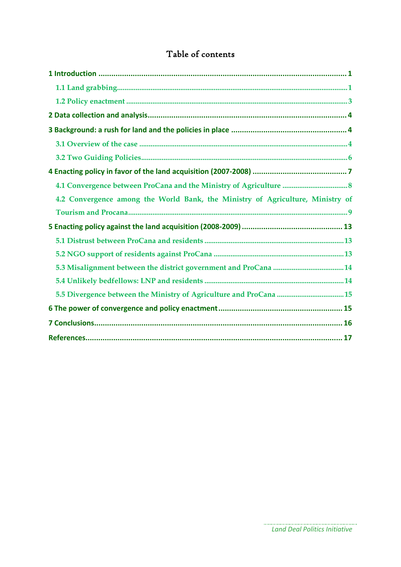# Table of contents

| 4.2 Convergence among the World Bank, the Ministry of Agriculture, Ministry of |
|--------------------------------------------------------------------------------|
|                                                                                |
|                                                                                |
|                                                                                |
|                                                                                |
|                                                                                |
|                                                                                |
|                                                                                |
|                                                                                |
|                                                                                |
|                                                                                |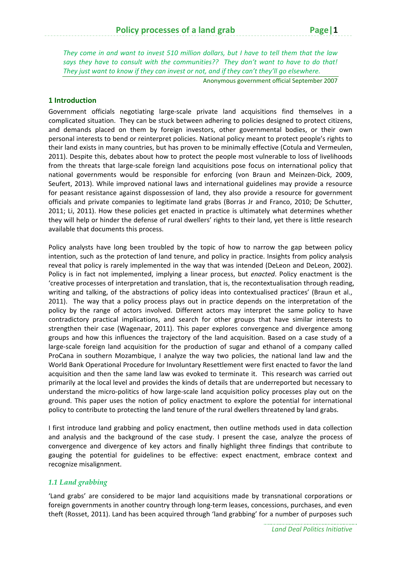*They come in and want to invest 510 million dollars, but I have to tell them that the law says they have to consult with the communities?? They don't want to have to do that!* They just want to know if they can invest or not, and if they can't they'll go elsewhere.

Anonymous government official September 2007

#### **1 Introduction**

Government officials negotiating large‐scale private land acquisitions find themselves in a complicated situation. They can be stuck between adhering to policies designed to protect citizens, and demands placed on them by foreign investors, other governmental bodies, or their own personal interests to bend or reinterpret policies. National policy meant to protect people's rights to their land exists in many countries, but has proven to be minimally effective (Cotula and Vermeulen, 2011). Despite this, debates about how to protect the people most vulnerable to loss of livelihoods from the threats that large-scale foreign land acquisitions pose focus on international policy that national governments would be responsible for enforcing (von Braun and Meinzen‐Dick, 2009, Seufert, 2013). While improved national laws and international guidelines may provide a resource for peasant resistance against dispossession of land, they also provide a resource for government officials and private companies to legitimate land grabs (Borras Jr and Franco, 2010; De Schutter, 2011; Li, 2011). How these policies get enacted in practice is ultimately what determines whether they will help or hinder the defense of rural dwellers' rights to their land, yet there is little research available that documents this process.

Policy analysts have long been troubled by the topic of how to narrow the gap between policy intention, such as the protection of land tenure, and policy in practice. Insights from policy analysis reveal that policy is rarely implemented in the way that was intended (DeLeon and DeLeon, 2002). Policy is in fact not implemented, implying a linear process, but *enacted*. Policy enactment is the 'creative processes of interpretation and translation, that is, the recontextualisation through reading, writing and talking, of the abstractions of policy ideas into contextualised practices' (Braun et al., 2011). The way that a policy process plays out in practice depends on the interpretation of the policy by the range of actors involved. Different actors may interpret the same policy to have contradictory practical implications, and search for other groups that have similar interests to strengthen their case (Wagenaar, 2011). This paper explores convergence and divergence among groups and how this influences the trajectory of the land acquisition. Based on a case study of a large‐scale foreign land acquisition for the production of sugar and ethanol of a company called ProCana in southern Mozambique, I analyze the way two policies, the national land law and the World Bank Operational Procedure for Involuntary Resettlement were first enacted to favor the land acquisition and then the same land law was evoked to terminate it. This research was carried out primarily at the local level and provides the kinds of details that are underreported but necessary to understand the micro‐politics of how large‐scale land acquisition policy processes play out on the ground. This paper uses the notion of policy enactment to explore the potential for international policy to contribute to protecting the land tenure of the rural dwellers threatened by land grabs.

I first introduce land grabbing and policy enactment, then outline methods used in data collection and analysis and the background of the case study. I present the case, analyze the process of convergence and divergence of key actors and finally highlight three findings that contribute to gauging the potential for guidelines to be effective: expect enactment, embrace context and recognize misalignment.

#### *1.1 Land grabbing*

'Land grabs' are considered to be major land acquisitions made by transnational corporations or foreign governments in another country through long-term leases, concessions, purchases, and even theft (Rosset, 2011). Land has been acquired through 'land grabbing' for a number of purposes such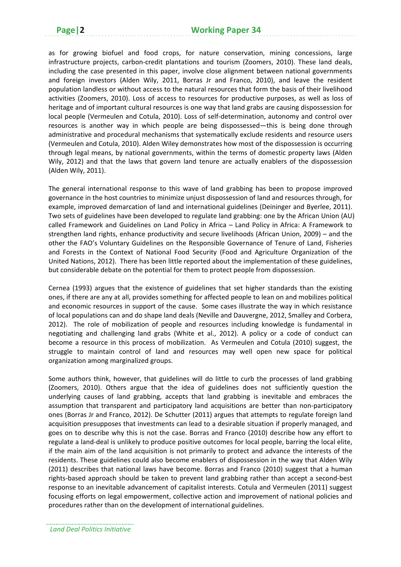as for growing biofuel and food crops, for nature conservation, mining concessions, large infrastructure projects, carbon-credit plantations and tourism (Zoomers, 2010). These land deals, including the case presented in this paper, involve close alignment between national governments and foreign investors (Alden Wily, 2011, Borras Jr and Franco, 2010), and leave the resident population landless or without access to the natural resources that form the basis of their livelihood activities (Zoomers, 2010). Loss of access to resources for productive purposes, as well as loss of heritage and of important cultural resources is one way that land grabs are causing dispossession for local people (Vermeulen and Cotula, 2010). Loss of self‐determination, autonomy and control over resources is another way in which people are being dispossessed—this is being done through administrative and procedural mechanisms that systematically exclude residents and resource users (Vermeulen and Cotula, 2010). Alden Wiley demonstrates how most of the dispossession is occurring through legal means, by national governments, within the terms of domestic property laws (Alden Wily, 2012) and that the laws that govern land tenure are actually enablers of the dispossession (Alden Wily, 2011).

The general international response to this wave of land grabbing has been to propose improved governance in the host countries to minimize unjust dispossession of land and resources through, for example, improved demarcation of land and international guidelines (Deininger and Byerlee, 2011). Two sets of guidelines have been developed to regulate land grabbing: one by the African Union (AU) called Framework and Guidelines on Land Policy in Africa – Land Policy in Africa: A Framework to strengthen land rights, enhance productivity and secure livelihoods (African Union, 2009) – and the other the FAO's Voluntary Guidelines on the Responsible Governance of Tenure of Land, Fisheries and Forests in the Context of National Food Security (Food and Agriculture Organization of the United Nations, 2012). There has been little reported about the implementation of these guidelines, but considerable debate on the potential for them to protect people from dispossession.

Cernea (1993) argues that the existence of guidelines that set higher standards than the existing ones, if there are any at all, provides something for affected people to lean on and mobilizes political and economic resources in support of the cause. Some cases illustrate the way in which resistance of local populations can and do shape land deals (Neville and Dauvergne, 2012, Smalley and Corbera, 2012). The role of mobilization of people and resources including knowledge is fundamental in negotiating and challenging land grabs (White et al., 2012). A policy or a code of conduct can become a resource in this process of mobilization. As Vermeulen and Cotula (2010) suggest, the struggle to maintain control of land and resources may well open new space for political organization among marginalized groups.

Some authors think, however, that guidelines will do little to curb the processes of land grabbing (Zoomers, 2010). Others argue that the idea of guidelines does not sufficiently question the underlying causes of land grabbing, accepts that land grabbing is inevitable and embraces the assumption that transparent and participatory land acquisitions are better than non-participatory ones (Borras Jr and Franco, 2012). De Schutter (2011) argues that attempts to regulate foreign land acquisition presupposes that investments can lead to a desirable situation if properly managed, and goes on to describe why this is not the case. Borras and Franco (2010) describe how any effort to regulate a land‐deal is unlikely to produce positive outcomes for local people, barring the local elite, if the main aim of the land acquisition is not primarily to protect and advance the interests of the residents. These guidelines could also become enablers of dispossession in the way that Alden Wily (2011) describes that national laws have become. Borras and Franco (2010) suggest that a human rights‐based approach should be taken to prevent land grabbing rather than accept a second‐best response to an inevitable advancement of capitalist interests. Cotula and Vermeulen (2011) suggest focusing efforts on legal empowerment, collective action and improvement of national policies and procedures rather than on the development of international guidelines.

*Land Deal Politics Initiative*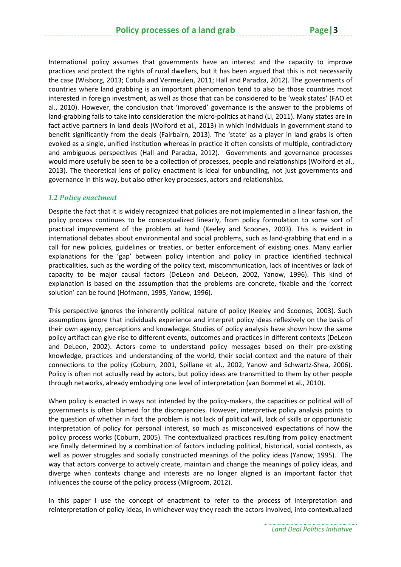International policy assumes that governments have an interest and the capacity to improve practices and protect the rights of rural dwellers, but it has been argued that this is not necessarily the case (Wisborg, 2013; Cotula and Vermeulen, 2011; Hall and Paradza, 2012). The governments of countries where land grabbing is an important phenomenon tend to also be those countries most interested in foreign investment, as well as those that can be considered to be 'weak states' (FAO et al., 2010). However, the conclusion that 'improved' governance is the answer to the problems of land-grabbing fails to take into consideration the micro-politics at hand (Li, 2011). Many states are in fact active partners in land deals (Wolford et al., 2013) in which individuals in government stand to benefit significantly from the deals (Fairbairn, 2013). The 'state' as a player in land grabs is often evoked as a single, unified institution whereas in practice it often consists of multiple, contradictory and ambiguous perspectives (Hall and Paradza, 2012). Governments and governance processes would more usefully be seen to be a collection of processes, people and relationships (Wolford et al., 2013). The theoretical lens of policy enactment is ideal for unbundling, not just governments and governance in this way, but also other key processes, actors and relationships.

#### *1.2 Policy enactment*

Despite the fact that it is widely recognized that policies are not implemented in a linear fashion, the policy process continues to be conceptualized linearly, from policy formulation to some sort of practical improvement of the problem at hand (Keeley and Scoones, 2003). This is evident in international debates about environmental and social problems, such as land‐grabbing that end in a call for new policies, guidelines or treaties, or better enforcement of existing ones. Many earlier explanations for the 'gap' between policy intention and policy in practice identified technical practicalities, such as the wording of the policy text, miscommunication, lack of incentives or lack of capacity to be major causal factors (DeLeon and DeLeon, 2002, Yanow, 1996). This kind of explanation is based on the assumption that the problems are concrete, fixable and the 'correct solution' can be found (Hofmann, 1995, Yanow, 1996).

This perspective ignores the inherently political nature of policy (Keeley and Scoones, 2003). Such assumptions ignore that individuals experience and interpret policy ideas reflexively on the basis of their own agency, perceptions and knowledge. Studies of policy analysis have shown how the same policy artifact can give rise to different events, outcomes and practices in different contexts (DeLeon and DeLeon, 2002). Actors come to understand policy messages based on their pre‐existing knowledge, practices and understanding of the world, their social context and the nature of their connections to the policy (Coburn, 2001, Spillane et al., 2002, Yanow and Schwartz-Shea, 2006). Policy is often not actually read by actors, but policy ideas are transmitted to them by other people through networks, already embodying one level of interpretation (van Bommel et al., 2010).

When policy is enacted in ways not intended by the policy-makers, the capacities or political will of governments is often blamed for the discrepancies. However, interpretive policy analysis points to the question of whether in fact the problem is not lack of political will, lack of skills or opportunistic interpretation of policy for personal interest, so much as misconceived expectations of how the policy process works (Coburn, 2005). The contextualized practices resulting from policy enactment are finally determined by a combination of factors including political, historical, social contexts, as well as power struggles and socially constructed meanings of the policy ideas (Yanow, 1995). The way that actors converge to actively create, maintain and change the meanings of policy ideas, and diverge when contexts change and interests are no longer aligned is an important factor that influences the course of the policy process (Milgroom, 2012).

In this paper I use the concept of enactment to refer to the process of interpretation and reinterpretation of policy ideas, in whichever way they reach the actors involved, into contextualized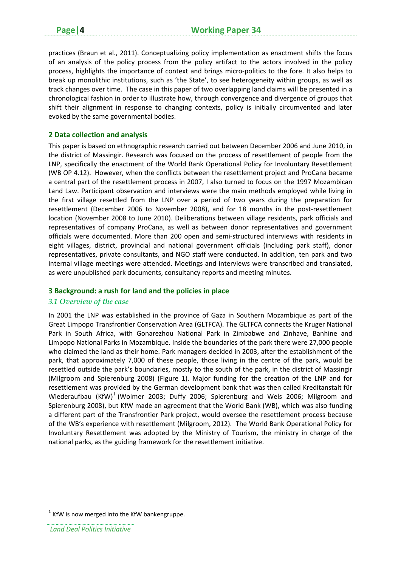practices (Braun et al., 2011). Conceptualizing policy implementation as enactment shifts the focus of an analysis of the policy process from the policy artifact to the actors involved in the policy process, highlights the importance of context and brings micro-politics to the fore. It also helps to break up monolithic institutions, such as 'the State', to see heterogeneity within groups, as well as track changes over time. The case in this paper of two overlapping land claims will be presented in a chronological fashion in order to illustrate how, through convergence and divergence of groups that shift their alignment in response to changing contexts, policy is initially circumvented and later evoked by the same governmental bodies.

#### **2 Data collection and analysis**

This paper is based on ethnographic research carried out between December 2006 and June 2010, in the district of Massingir. Research was focused on the process of resettlement of people from the LNP, specifically the enactment of the World Bank Operational Policy for Involuntary Resettlement (WB OP 4.12). However, when the conflicts between the resettlement project and ProCana became a central part of the resettlement process in 2007, I also turned to focus on the 1997 Mozambican Land Law. Participant observation and interviews were the main methods employed while living in the first village resettled from the LNP over a period of two years during the preparation for resettlement (December 2006 to November 2008), and for 18 months in the post-resettlement location (November 2008 to June 2010). Deliberations between village residents, park officials and representatives of company ProCana, as well as between donor representatives and government officials were documented. More than 200 open and semi‐structured interviews with residents in eight villages, district, provincial and national government officials (including park staff), donor representatives, private consultants, and NGO staff were conducted. In addition, ten park and two internal village meetings were attended. Meetings and interviews were transcribed and translated, as were unpublished park documents, consultancy reports and meeting minutes.

#### **3 Background: a rush for land and the policies in place**

#### *3.1 Overview of the case*

In 2001 the LNP was established in the province of Gaza in Southern Mozambique as part of the Great Limpopo Transfrontier Conservation Area (GLTFCA). The GLTFCA connects the Kruger National Park in South Africa, with Gonarezhou National Park in Zimbabwe and Zinhave, Banhine and Limpopo National Parks in Mozambique. Inside the boundaries of the park there were 27,000 people who claimed the land as their home. Park managers decided in 2003, after the establishment of the park, that approximately 7,000 of these people, those living in the centre of the park, would be resettled outside the park's boundaries, mostly to the south of the park, in the district of Massingir (Milgroom and Spierenburg 2008) (Figure 1). Major funding for the creation of the LNP and for resettlement was provided by the German development bank that was then called Kreditanstalt für Wiederaufbau  $(KfW)^1$  (Wolmer 2003; Duffy 2006; Spierenburg and Wels 2006; Milgroom and Spierenburg 2008), but KfW made an agreement that the World Bank (WB), which was also funding a different part of the Transfrontier Park project, would oversee the resettlement process because of the WB's experience with resettlement (Milgroom, 2012). The World Bank Operational Policy for Involuntary Resettlement was adopted by the Ministry of Tourism, the ministry in charge of the national parks, as the guiding framework for the resettlement initiative.

KfW is now merged into the KfW bankengruppe.

*Land Deal Politics Initiative*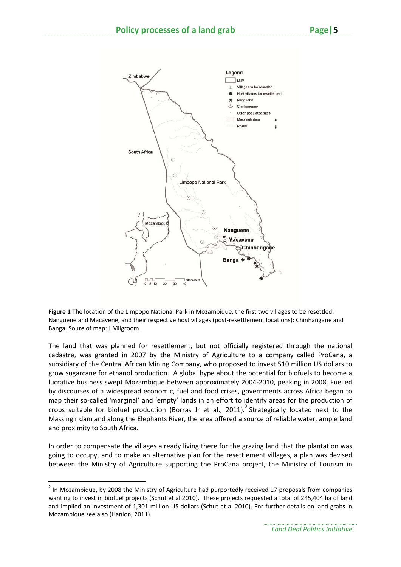

**Figure 1** The location of the Limpopo National Park in Mozambique, the first two villages to be resettled: Nanguene and Macavene, and their respective host villages (post‐resettlement locations): Chinhangane and Banga. Soure of map: J Milgroom.

The land that was planned for resettlement, but not officially registered through the national cadastre, was granted in 2007 by the Ministry of Agriculture to a company called ProCana, a subsidiary of the Central African Mining Company, who proposed to invest 510 million US dollars to grow sugarcane for ethanol production. A global hype about the potential for biofuels to become a lucrative business swept Mozambique between approximately 2004‐2010, peaking in 2008. Fuelled by discourses of a widespread economic, fuel and food crises, governments across Africa began to map their so-called 'marginal' and 'empty' lands in an effort to identify areas for the production of crops suitable for biofuel production (Borras Jr et al., 2011).<sup>2</sup> Strategically located next to the Massingir dam and along the Elephants River, the area offered a source of reliable water, ample land and proximity to South Africa.

In order to compensate the villages already living there for the grazing land that the plantation was going to occupy, and to make an alternative plan for the resettlement villages, a plan was devised between the Ministry of Agriculture supporting the ProCana project, the Ministry of Tourism in

<sup>&</sup>lt;sup>2</sup> In Mozambique, by 2008 the Ministry of Agriculture had purportedly received 17 proposals from companies wanting to invest in biofuel projects (Schut et al 2010). These projects requested a total of 245,404 ha of land and implied an investment of 1,301 million US dollars (Schut et al 2010). For further details on land grabs in Mozambique see also (Hanlon, 2011).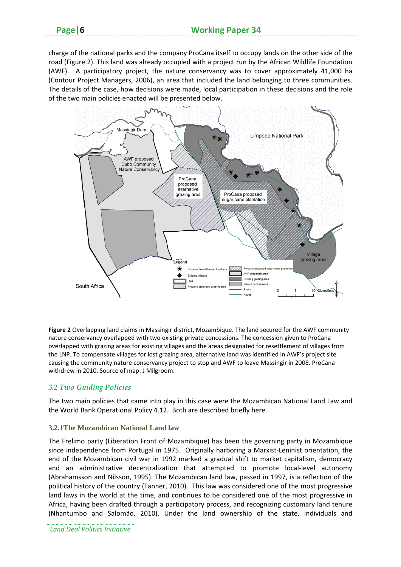charge of the national parks and the company ProCana itself to occupy lands on the other side of the road (Figure 2). This land was already occupied with a project run by the African Wildlife Foundation (AWF). A participatory project, the nature conservancy was to cover approximately 41,000 ha (Contour Project Managers, 2006), an area that included the land belonging to three communities. The details of the case, how decisions were made, local participation in these decisions and the role of the two main policies enacted will be presented below.



**Figure 2** Overlapping land claims in Massingir district, Mozambique. The land secured for the AWF community nature conservancy overlapped with two existing private concessions. The concession given to ProCana overlapped with grazing areas for existing villages and the areas designated for resettlement of villages from the LNP. To compensate villages for lost grazing area, alternative land was identified in AWF's project site causing the community nature conservancy project to stop and AWF to leave Massingir in 2008. ProCana withdrew in 2010. Source of map: J Milgroom.

#### *3.2 Two Guiding Policies*

The two main policies that came into play in this case were the Mozambican National Land Law and the World Bank Operational Policy 4.12. Both are described briefly here.

#### **3.2.1The Mozambican National Land law**

The Frelimo party (Liberation Front of Mozambique) has been the governing party in Mozambique since independence from Portugal in 1975. Originally harboring a Marxist-Leninist orientation, the end of the Mozambican civil war in 1992 marked a gradual shift to market capitalism, democracy and an administrative decentralization that attempted to promote local‐level autonomy (Abrahamsson and Nilsson, 1995). The Mozambican land law, passed in 1997, is a reflection of the political history of the country (Tanner, 2010). This law was considered one of the most progressive land laws in the world at the time, and continues to be considered one of the most progressive in Africa, having been drafted through a participatory process, and recognizing customary land tenure (Nhantumbo and Salomão, 2010). Under the land ownership of the state, individuals and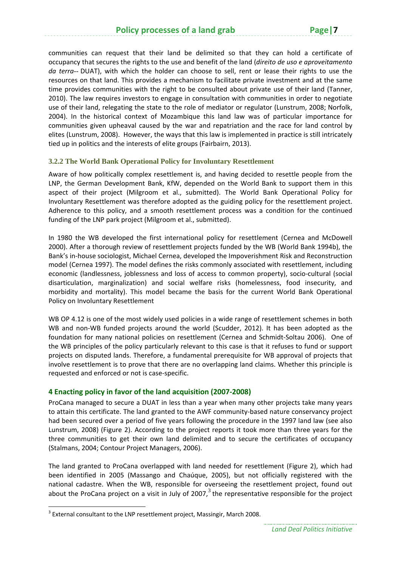communities can request that their land be delimited so that they can hold a certificate of occupancy that secures the rights to the use and benefit of the land (*direito de uso e aproveitamento da terra--* DUAT), with which the holder can choose to sell, rent or lease their rights to use the resources on that land. This provides a mechanism to facilitate private investment and at the same time provides communities with the right to be consulted about private use of their land (Tanner, 2010). The law requires investors to engage in consultation with communities in order to negotiate use of their land, relegating the state to the role of mediator or regulator (Lunstrum, 2008; Norfolk, 2004). In the historical context of Mozambique this land law was of particular importance for communities given upheaval caused by the war and repatriation and the race for land control by elites (Lunstrum, 2008). However, the ways that this law is implemented in practice is still intricately tied up in politics and the interests of elite groups (Fairbairn, 2013).

#### **3.2.2 The World Bank Operational Policy for Involuntary Resettlement**

Aware of how politically complex resettlement is, and having decided to resettle people from the LNP, the German Development Bank, KfW, depended on the World Bank to support them in this aspect of their project (Milgroom et al., submitted). The World Bank Operational Policy for Involuntary Resettlement was therefore adopted as the guiding policy for the resettlement project. Adherence to this policy, and a smooth resettlement process was a condition for the continued funding of the LNP park project (Milgroom et al., submitted).

In 1980 the WB developed the first international policy for resettlement (Cernea and McDowell 2000). After a thorough review of resettlement projects funded by the WB (World Bank 1994b), the Bank's in‐house sociologist, Michael Cernea, developed the Impoverishment Risk and Reconstruction model (Cernea 1997). The model defines the risks commonly associated with resettlement, including economic (landlessness, joblessness and loss of access to common property), socio‐cultural (social disarticulation, marginalization) and social welfare risks (homelessness, food insecurity, and morbidity and mortality). This model became the basis for the current World Bank Operational Policy on Involuntary Resettlement

WB OP 4.12 is one of the most widely used policies in a wide range of resettlement schemes in both WB and non-WB funded projects around the world (Scudder, 2012). It has been adopted as the foundation for many national policies on resettlement (Cernea and Schmidt‐Soltau 2006). One of the WB principles of the policy particularly relevant to this case is that it refuses to fund or support projects on disputed lands. Therefore, a fundamental prerequisite for WB approval of projects that involve resettlement is to prove that there are no overlapping land claims. Whether this principle is requested and enforced or not is case‐specific.

#### **4 Enacting policy in favor of the land acquisition (2007‐2008)**

ProCana managed to secure a DUAT in less than a year when many other projects take many years to attain this certificate. The land granted to the AWF community‐based nature conservancy project had been secured over a period of five years following the procedure in the 1997 land law (see also Lunstrum, 2008) (Figure 2). According to the project reports it took more than three years for the three communities to get their own land delimited and to secure the certificates of occupancy (Stalmans, 2004; Contour Project Managers, 2006).

The land granted to ProCana overlapped with land needed for resettlement (Figure 2), which had been identified in 2005 (Massango and Chaúque, 2005), but not officially registered with the national cadastre. When the WB, responsible for overseeing the resettlement project, found out about the ProCana project on a visit in July of 2007, $3$  the representative responsible for the project

 $3$  External consultant to the LNP resettlement project. Massingir, March 2008.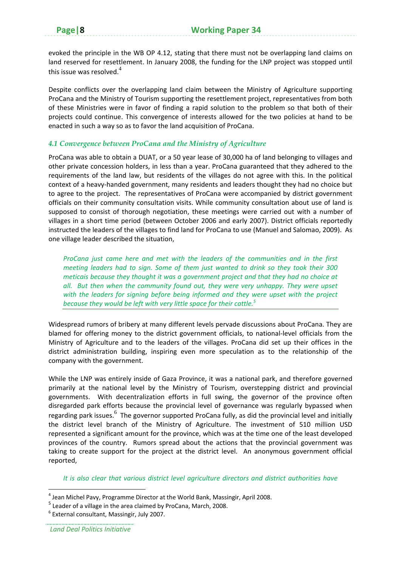evoked the principle in the WB OP 4.12, stating that there must not be overlapping land claims on land reserved for resettlement. In January 2008, the funding for the LNP project was stopped until this issue was resolved.<sup>4</sup>

Despite conflicts over the overlapping land claim between the Ministry of Agriculture supporting ProCana and the Ministry of Tourism supporting the resettlement project, representatives from both of these Ministries were in favor of finding a rapid solution to the problem so that both of their projects could continue. This convergence of interests allowed for the two policies at hand to be enacted in such a way so as to favor the land acquisition of ProCana.

#### *4.1 Convergence between ProCana and the Ministry of Agriculture*

ProCana was able to obtain a DUAT, or a 50 year lease of 30,000 ha of land belonging to villages and other private concession holders, in less than a year. ProCana guaranteed that they adhered to the requirements of the land law, but residents of the villages do not agree with this. In the political context of a heavy‐handed government, many residents and leaders thought they had no choice but to agree to the project. The representatives of ProCana were accompanied by district government officials on their community consultation visits. While community consultation about use of land is supposed to consist of thorough negotiation, these meetings were carried out with a number of villages in a short time period (between October 2006 and early 2007). District officials reportedly instructed the leaders of the villages to find land for ProCana to use (Manuel and Salomao, 2009). As one village leader described the situation,

*ProCana just came here and met with the leaders of the communities and in the first meeting leaders had to sign. Some of them just wanted to drink so they took their 300 meticais because they thought it was a government project and that they had no choice at all. But then when the community found out, they were very unhappy. They were upset with the leaders for signing before being informed and they were upset with the project because they would be left with very little space for their cattle.<sup>5</sup>* 

Widespread rumors of bribery at many different levels pervade discussions about ProCana. They are blamed for offering money to the district government officials, to national-level officials from the Ministry of Agriculture and to the leaders of the villages. ProCana did set up their offices in the district administration building, inspiring even more speculation as to the relationship of the company with the government.

While the LNP was entirely inside of Gaza Province, it was a national park, and therefore governed primarily at the national level by the Ministry of Tourism, overstepping district and provincial governments. With decentralization efforts in full swing, the governor of the province often disregarded park efforts because the provincial level of governance was regularly bypassed when regarding park issues.<sup>6</sup> The governor supported ProCana fully, as did the provincial level and initially the district level branch of the Ministry of Agriculture. The investment of 510 million USD represented a significant amount for the province, which was at the time one of the least developed provinces of the country. Rumors spread about the actions that the provincial government was taking to create support for the project at the district level. An anonymous government official reported,

*It is also clear that various district level agriculture directors and district authorities have*

<sup>4</sup> Jean Michel Pavy, Programme Director at the World Bank, Massingir, April 2008.

 $<sup>5</sup>$  Leader of a village in the area claimed by ProCana, March, 2008.</sup>

<sup>6</sup> External consultant, Massingir, July 2007.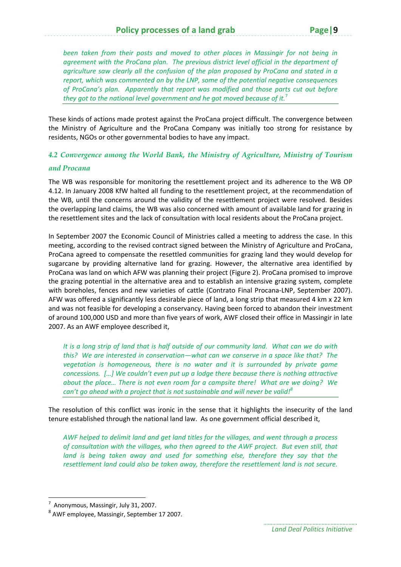*been taken from their posts and moved to other places in Massingir for not being in agreement with the ProCana plan. The previous district level official in the department of agriculture saw clearly all the confusion of the plan proposed by ProCana and stated in a report, which was commented on by the LNP, some of the potential negative consequences of ProCana's plan. Apparently that report was modified and those parts cut out before they got to the national level government and he got moved because of it.*<sup>7</sup>

These kinds of actions made protest against the ProCana project difficult. The convergence between the Ministry of Agriculture and the ProCana Company was initially too strong for resistance by residents, NGOs or other governmental bodies to have any impact.

#### *4.2 Convergence among the World Bank, the Ministry of Agriculture, Ministry of Tourism*

#### *and Procana*

The WB was responsible for monitoring the resettlement project and its adherence to the WB OP 4.12. In January 2008 KfW halted all funding to the resettlement project, at the recommendation of the WB, until the concerns around the validity of the resettlement project were resolved. Besides the overlapping land claims, the WB was also concerned with amount of available land for grazing in the resettlement sites and the lack of consultation with local residents about the ProCana project.

In September 2007 the Economic Council of Ministries called a meeting to address the case. In this meeting, according to the revised contract signed between the Ministry of Agriculture and ProCana, ProCana agreed to compensate the resettled communities for grazing land they would develop for sugarcane by providing alternative land for grazing. However, the alternative area identified by ProCana was land on which AFW was planning their project (Figure 2). ProCana promised to improve the grazing potential in the alternative area and to establish an intensive grazing system, complete with boreholes, fences and new varieties of cattle (Contrato Final Procana-LNP, September 2007). AFW was offered a significantly less desirable piece of land, a long strip that measured 4 km x 22 km and was not feasible for developing a conservancy. Having been forced to abandon their investment of around 100,000 USD and more than five years of work, AWF closed their office in Massingir in late 2007. As an AWF employee described it,

It is a long strip of land that is half outside of our community land. What can we do with *this? We are interested in conservation—what can we conserve in a space like that? The vegetation is homogeneous, there is no water and it is surrounded by private game concessions. […] We couldn't even put up a lodge there because there is nothing attractive about the place… There is not even room for a campsite there! What are we doing? We can't go ahead with a project that is not sustainable and will never be valid!<sup>8</sup>*

The resolution of this conflict was ironic in the sense that it highlights the insecurity of the land tenure established through the national land law. As one government official described it,

*AWF helped to delimit land and get land titles for the villages, and went through a process of consultation with the villages, who then agreed to the AWF project. But even still, that land is being taken away and used for something else, therefore they say that the resettlement land could also be taken away, therefore the resettlement land is not secure.* 

*Land Deal Politics Initiative*

<sup>7</sup> Anonymous, Massingir, July 31, 2007.

<sup>8</sup> AWF employee, Massingir, September 17 2007.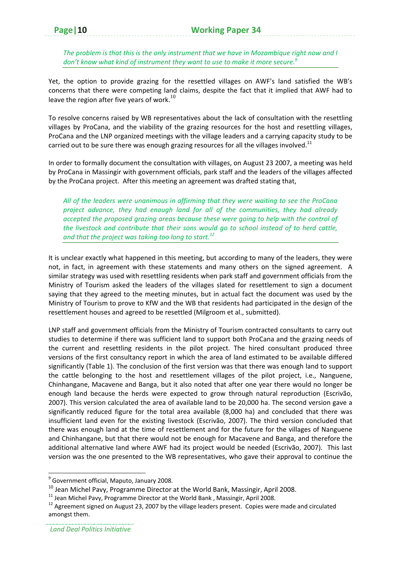*The problem is that this is the only instrument that we have in Mozambique right now and I don't know what kind of instrument they want to use to make it more secure.9*

Yet, the option to provide grazing for the resettled villages on AWF's land satisfied the WB's concerns that there were competing land claims, despite the fact that it implied that AWF had to leave the region after five years of work.<sup>10</sup>

To resolve concerns raised by WB representatives about the lack of consultation with the resettling villages by ProCana, and the viability of the grazing resources for the host and resettling villages, ProCana and the LNP organized meetings with the village leaders and a carrying capacity study to be carried out to be sure there was enough grazing resources for all the villages involved.<sup>11</sup>

In order to formally document the consultation with villages, on August 23 2007, a meeting was held by ProCana in Massingir with government officials, park staff and the leaders of the villages affected by the ProCana project. After this meeting an agreement was drafted stating that,

*All of the leaders were unanimous in affirming that they were waiting to see the ProCana project advance, they had enough land for all of the communities, they had already accepted the proposed grazing areas because these were going to help with the control of the livestock and contribute that their sons would go to school instead of to herd cattle, and that the project was taking too long to start.<sup>12</sup>* 

It is unclear exactly what happened in this meeting, but according to many of the leaders, they were not, in fact, in agreement with these statements and many others on the signed agreement. A similar strategy was used with resettling residents when park staff and government officials from the Ministry of Tourism asked the leaders of the villages slated for resettlement to sign a document saying that they agreed to the meeting minutes, but in actual fact the document was used by the Ministry of Tourism to prove to KfW and the WB that residents had participated in the design of the resettlement houses and agreed to be resettled (Milgroom et al., submitted).

LNP staff and government officials from the Ministry of Tourism contracted consultants to carry out studies to determine if there was sufficient land to support both ProCana and the grazing needs of the current and resettling residents in the pilot project. The hired consultant produced three versions of the first consultancy report in which the area of land estimated to be available differed significantly (Table 1). The conclusion of the first version was that there was enough land to support the cattle belonging to the host and resettlement villages of the pilot project, i.e., Nanguene, Chinhangane, Macavene and Banga, but it also noted that after one year there would no longer be enough land because the herds were expected to grow through natural reproduction (Escrivão, 2007). This version calculated the area of available land to be 20,000 ha. The second version gave a significantly reduced figure for the total area available (8,000 ha) and concluded that there was insufficient land even for the existing livestock (Escrivão, 2007). The third version concluded that there was enough land at the time of resettlement and for the future for the villages of Nanguene and Chinhangane, but that there would not be enough for Macavene and Banga, and therefore the additional alternative land where AWF had its project would be needed (Escrivão, 2007). This last version was the one presented to the WB representatives, who gave their approval to continue the

<sup>&</sup>lt;sup>9</sup> Government official, Maputo, January 2008.

<sup>&</sup>lt;sup>10</sup> Jean Michel Pavy, Programme Director at the World Bank, Massingir, April 2008.<br><sup>11</sup> Jean Michel Pavy, Programme Director at the World Bank, Massingir, April 2008.<br><sup>12</sup> Agreement signed on August 23, 2007 by the villa amongst them.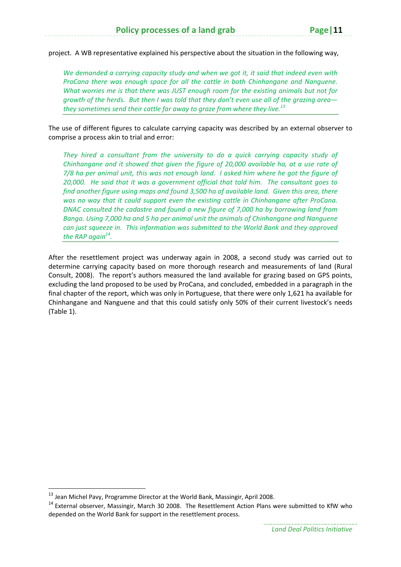project. A WB representative explained his perspective about the situation in the following way,

*We demanded a carrying capacity study and when we got it, it said that indeed even with ProCana there was enough space for all the cattle in both Chinhangane and Nanguene. What worries me is that there was JUST enough room for the existing animals but not for* arowth of the herds. But then I was told that they don't even use all of the arazing area*they sometimes send their cattle far away to graze from where they live.<sup>13</sup>*

The use of different figures to calculate carrying capacity was described by an external observer to comprise a process akin to trial and error:

*They hired a consultant from the university to do a quick carrying capacity study of Chinhangane and it showed that given the figure of 20,000 available ha, at a use rate of* 7/8 ha per animal unit, this was not enough land. I asked him where he got the figure of *20,000. He said that it was a government official that told him. The consultant goes to find another figure using maps and found 3,500 ha of available land. Given this area, there was no way that it could support even the existing cattle in Chinhangane after ProCana. DNAC consulted the cadastre and found a new figure of 7,000 ha by borrowing land from Banga. Using 7,000 ha and 5 ha per animal unit the animals of Chinhangane and Nanguene can just squeeze in. This information was submitted to the World Bank and they approved the RAP again14.*

After the resettlement project was underway again in 2008, a second study was carried out to determine carrying capacity based on more thorough research and measurements of land (Rural Consult, 2008). The report's authors measured the land available for grazing based on GPS points, excluding the land proposed to be used by ProCana, and concluded, embedded in a paragraph in the final chapter of the report, which was only in Portuguese, that there were only 1,621 ha available for Chinhangane and Nanguene and that this could satisfy only 50% of their current livestock's needs (Table 1).

 $^{13}$  Jean Michel Pavy, Programme Director at the World Bank, Massingir, April 2008.

<sup>&</sup>lt;sup>14</sup> External observer, Massingir, March 30 2008. The Resettlement Action Plans were submitted to KfW who depended on the World Bank for support in the resettlement process.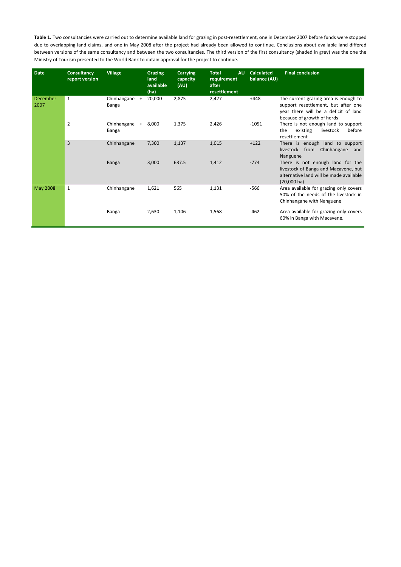Table 1. Two consultancies were carried out to determine available land for grazing in post-resettlement, one in December 2007 before funds were stopped due to overlapping land claims, and one in May 2008 after the project had already been allowed to continue. Conclusions about available land differed between versions of the same consultancy and between the two consultancies. The third version of the first consultancy (shaded in grey) was the one the Ministry of Tourism presented to the World Bank to obtain approval for the project to continue.

| <b>Date</b>      | <b>Consultancy</b><br>report version | <b>Village</b>                     | <b>Grazing</b><br>land<br>available<br>(ha) | <b>Carrying</b><br>capacity<br>(AU) | <b>Total</b><br><b>AU</b><br>requirement<br>after<br>resettlement | <b>Calculated</b><br>balance (AU) | <b>Final conclusion</b>                                                                                                                            |
|------------------|--------------------------------------|------------------------------------|---------------------------------------------|-------------------------------------|-------------------------------------------------------------------|-----------------------------------|----------------------------------------------------------------------------------------------------------------------------------------------------|
| December<br>2007 | $\mathbf{1}$                         | Chinhangane<br>$+$<br><b>Banga</b> | 20,000                                      | 2,875                               | 2,427                                                             | $+448$                            | The current grazing area is enough to<br>support resettlement, but after one<br>year there will be a deficit of land<br>because of growth of herds |
|                  | $\overline{2}$                       | Chinhangane<br>Banga               | $+ 8,000$                                   | 1,375                               | 2,426                                                             | $-1051$                           | There is not enough land to support<br>before<br>the<br>existing<br>livestock<br>resettlement                                                      |
|                  | $\mathbf{3}$                         | Chinhangane                        | 7,300                                       | 1,137                               | 1,015                                                             | $+122$                            | There is enough land to support<br>Chinhangane<br>livestock from<br>and<br>Nanguene                                                                |
|                  |                                      | <b>Banga</b>                       | 3,000                                       | 637.5                               | 1,412                                                             | $-774$                            | There is not enough land for the<br>livestock of Banga and Macavene, but<br>alternative land will be made available<br>$(20,000 \text{ ha})$       |
| May 2008         | $\mathbf{1}$                         | Chinhangane                        | 1,621                                       | 565                                 | 1,131                                                             | $-566$                            | Area available for grazing only covers<br>50% of the needs of the livestock in<br>Chinhangane with Nanguene                                        |
|                  |                                      | Banga                              | 2,630                                       | 1,106                               | 1,568                                                             | $-462$                            | Area available for grazing only covers<br>60% in Banga with Macavene.                                                                              |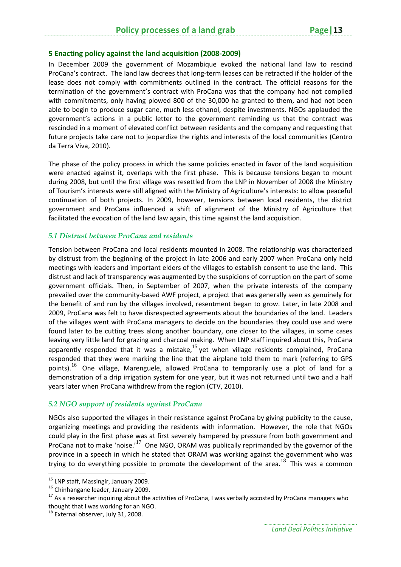#### **5 Enacting policy against the land acquisition (2008‐2009)**

In December 2009 the government of Mozambique evoked the national land law to rescind ProCana's contract. The land law decrees that long‐term leases can be retracted if the holder of the lease does not comply with commitments outlined in the contract. The official reasons for the termination of the government's contract with ProCana was that the company had not complied with commitments, only having plowed 800 of the 30,000 ha granted to them, and had not been able to begin to produce sugar cane, much less ethanol, despite investments. NGOs applauded the government's actions in a public letter to the government reminding us that the contract was rescinded in a moment of elevated conflict between residents and the company and requesting that future projects take care not to jeopardize the rights and interests of the local communities (Centro da Terra Viva, 2010).

The phase of the policy process in which the same policies enacted in favor of the land acquisition were enacted against it, overlaps with the first phase. This is because tensions began to mount during 2008, but until the first village was resettled from the LNP in November of 2008 the Ministry of Tourism's interests were still aligned with the Ministry of Agriculture's interests: to allow peaceful continuation of both projects. In 2009, however, tensions between local residents, the district government and ProCana influenced a shift of alignment of the Ministry of Agriculture that facilitated the evocation of the land law again, this time against the land acquisition.

#### *5.1 Distrust between ProCana and residents*

Tension between ProCana and local residents mounted in 2008. The relationship was characterized by distrust from the beginning of the project in late 2006 and early 2007 when ProCana only held meetings with leaders and important elders of the villages to establish consent to use the land. This distrust and lack of transparency was augmented by the suspicions of corruption on the part of some government officials. Then, in September of 2007, when the private interests of the company prevailed over the community‐based AWF project, a project that was generally seen as genuinely for the benefit of and run by the villages involved, resentment began to grow. Later, in late 2008 and 2009, ProCana was felt to have disrespected agreements about the boundaries of the land. Leaders of the villages went with ProCana managers to decide on the boundaries they could use and were found later to be cutting trees along another boundary, one closer to the villages, in some cases leaving very little land for grazing and charcoal making. When LNP staff inquired about this, ProCana apparently responded that it was a mistake,  $15$  yet when village residents complained, ProCana responded that they were marking the line that the airplane told them to mark (referring to GPS points).<sup>16</sup> One village, Marenguele, allowed ProCana to temporarily use a plot of land for a demonstration of a drip irrigation system for one year, but it was not returned until two and a half years later when ProCana withdrew from the region (CTV, 2010).

#### *5.2 NGO support of residents against ProCana*

NGOs also supported the villages in their resistance against ProCana by giving publicity to the cause, organizing meetings and providing the residents with information. However, the role that NGOs could play in the first phase was at first severely hampered by pressure from both government and ProCana not to make 'noise.<sup>17</sup> One NGO, ORAM was publically reprimanded by the governor of the province in a speech in which he stated that ORAM was working against the government who was trying to do everything possible to promote the development of the area.<sup>18</sup> This was a common

<sup>&</sup>lt;sup>15</sup> LNP staff, Massingir, January 2009.<br><sup>16</sup> Chinhangane leader, January 2009.<br><sup>17</sup> As a researcher inquiring about the activities of ProCana, I was verbally accosted by ProCana managers who

thought that I was working for an NGO.<br><sup>18</sup> External observer, July 31, 2008.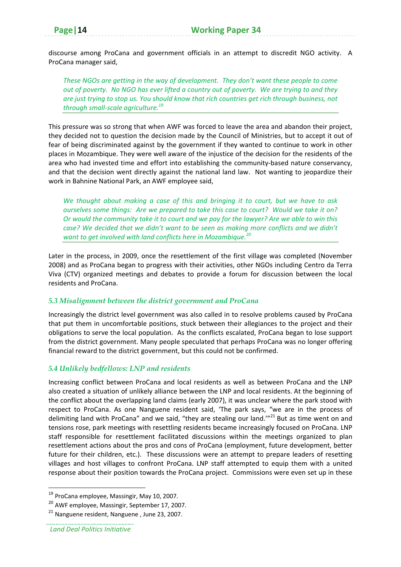discourse among ProCana and government officials in an attempt to discredit NGO activity. A ProCana manager said,

*These NGOs are getting in the way of development. They don't want these people to come* out of poverty. No NGO has ever lifted a country out of poverty. We are trying to and they *are just trying to stop us. You should know that rich countries get rich through business, not through small‐scale agriculture.<sup>19</sup>*

This pressure was so strong that when AWF was forced to leave the area and abandon their project, they decided not to question the decision made by the Council of Ministries, but to accept it out of fear of being discriminated against by the government if they wanted to continue to work in other places in Mozambique. They were well aware of the injustice of the decision for the residents of the area who had invested time and effort into establishing the community-based nature conservancy, and that the decision went directly against the national land law. Not wanting to jeopardize their work in Bahnine National Park, an AWF employee said,

*We thought about making a case of this and bringing it to court, but we have to ask* ourselves some things: Are we prepared to take this case to court? Would we take it on? Or would the community take it to court and we pay for the lawyer? Are we able to win this *case? We decided that we didn't want to be seen as making more conflicts and we didn't want to get involved with land conflicts here in Mozambique.<sup>20</sup>* 

Later in the process, in 2009, once the resettlement of the first village was completed (November 2008) and as ProCana began to progress with their activities, other NGOs including Centro da Terra Viva (CTV) organized meetings and debates to provide a forum for discussion between the local residents and ProCana.

#### *5.3 Misalignment between the district government and ProCana*

Increasingly the district level government was also called in to resolve problems caused by ProCana that put them in uncomfortable positions, stuck between their allegiances to the project and their obligations to serve the local population. As the conflicts escalated, ProCana began to lose support from the district government. Many people speculated that perhaps ProCana was no longer offering financial reward to the district government, but this could not be confirmed.

#### *5.4 Unlikely bedfellows: LNP and residents*

Increasing conflict between ProCana and local residents as well as between ProCana and the LNP also created a situation of unlikely alliance between the LNP and local residents. At the beginning of the conflict about the overlapping land claims (early 2007), it was unclear where the park stood with respect to ProCana. As one Nanguene resident said, 'The park says, "we are in the process of delimiting land with ProCana" and we said, "they are stealing our land." $^{21}$  But as time went on and tensions rose, park meetings with resettling residents became increasingly focused on ProCana. LNP staff responsible for resettlement facilitated discussions within the meetings organized to plan resettlement actions about the pros and cons of ProCana (employment, future development, better future for their children, etc.). These discussions were an attempt to prepare leaders of resetting villages and host villages to confront ProCana. LNP staff attempted to equip them with a united response about their position towards the ProCana project. Commissions were even set up in these

<sup>&</sup>lt;sup>19</sup> ProCana employee, Massingir, May 10, 2007.

<sup>20</sup> AWF employee, Massingir, September 17, 2007.

<sup>21</sup> Nanguene resident, Nanguene , June 23, 2007.

*Land Deal Politics Initiative*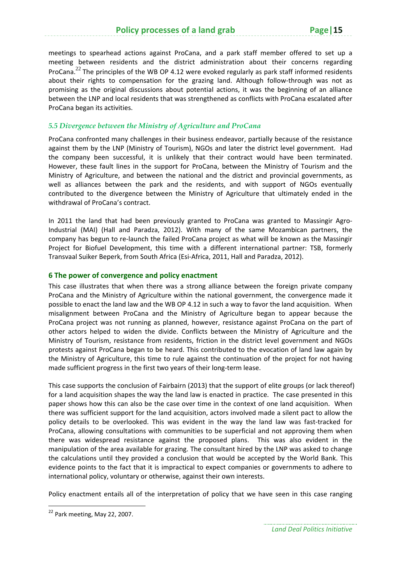meetings to spearhead actions against ProCana, and a park staff member offered to set up a meeting between residents and the district administration about their concerns regarding ProCana.<sup>22</sup> The principles of the WB OP 4.12 were evoked regularly as park staff informed residents about their rights to compensation for the grazing land. Although follow-through was not as promising as the original discussions about potential actions, it was the beginning of an alliance between the LNP and local residents that was strengthened as conflicts with ProCana escalated after ProCana began its activities.

#### *5.5 Divergence between the Ministry of Agriculture and ProCana*

ProCana confronted many challenges in their business endeavor, partially because of the resistance against them by the LNP (Ministry of Tourism), NGOs and later the district level government. Had the company been successful, it is unlikely that their contract would have been terminated. However, these fault lines in the support for ProCana, between the Ministry of Tourism and the Ministry of Agriculture, and between the national and the district and provincial governments, as well as alliances between the park and the residents, and with support of NGOs eventually contributed to the divergence between the Ministry of Agriculture that ultimately ended in the withdrawal of ProCana's contract.

In 2011 the land that had been previously granted to ProCana was granted to Massingir Agro-Industrial (MAI) (Hall and Paradza, 2012). With many of the same Mozambican partners, the company has begun to re‐launch the failed ProCana project as what will be known as the Massingir Project for Biofuel Development, this time with a different international partner: TSB, formerly Transvaal Suiker Beperk, from South Africa (Esi‐Africa, 2011, Hall and Paradza, 2012).

#### **6 The power of convergence and policy enactment**

This case illustrates that when there was a strong alliance between the foreign private company ProCana and the Ministry of Agriculture within the national government, the convergence made it possible to enact the land law and the WB OP 4.12 in such a way to favor the land acquisition. When misalignment between ProCana and the Ministry of Agriculture began to appear because the ProCana project was not running as planned, however, resistance against ProCana on the part of other actors helped to widen the divide. Conflicts between the Ministry of Agriculture and the Ministry of Tourism, resistance from residents, friction in the district level government and NGOs protests against ProCana began to be heard. This contributed to the evocation of land law again by the Ministry of Agriculture, this time to rule against the continuation of the project for not having made sufficient progress in the first two years of their long-term lease.

This case supports the conclusion of Fairbairn (2013) that the support of elite groups (or lack thereof) for a land acquisition shapes the way the land law is enacted in practice. The case presented in this paper shows how this can also be the case over time in the context of one land acquisition. When there was sufficient support for the land acquisition, actors involved made a silent pact to allow the policy details to be overlooked. This was evident in the way the land law was fast-tracked for ProCana, allowing consultations with communities to be superficial and not approving them when there was widespread resistance against the proposed plans. This was also evident in the manipulation of the area available for grazing. The consultant hired by the LNP was asked to change the calculations until they provided a conclusion that would be accepted by the World Bank. This evidence points to the fact that it is impractical to expect companies or governments to adhere to international policy, voluntary or otherwise, against their own interests.

Policy enactment entails all of the interpretation of policy that we have seen in this case ranging

<sup>&</sup>lt;sup>22</sup> Park meeting, May 22, 2007.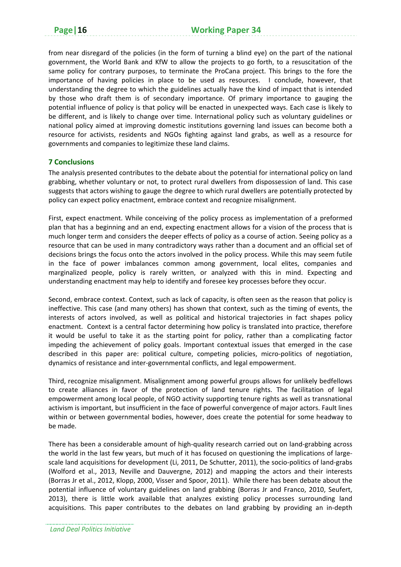from near disregard of the policies (in the form of turning a blind eye) on the part of the national government, the World Bank and KfW to allow the projects to go forth, to a resuscitation of the same policy for contrary purposes, to terminate the ProCana project. This brings to the fore the importance of having policies in place to be used as resources. I conclude, however, that understanding the degree to which the guidelines actually have the kind of impact that is intended by those who draft them is of secondary importance. Of primary importance to gauging the potential influence of policy is that policy will be enacted in unexpected ways. Each case is likely to be different, and is likely to change over time. International policy such as voluntary guidelines or national policy aimed at improving domestic institutions governing land issues can become both a resource for activists, residents and NGOs fighting against land grabs, as well as a resource for governments and companies to legitimize these land claims.

#### **7 Conclusions**

The analysis presented contributes to the debate about the potential for international policy on land grabbing, whether voluntary or not, to protect rural dwellers from dispossession of land. This case suggests that actors wishing to gauge the degree to which rural dwellers are potentially protected by policy can expect policy enactment, embrace context and recognize misalignment.

First, expect enactment. While conceiving of the policy process as implementation of a preformed plan that has a beginning and an end, expecting enactment allows for a vision of the process that is much longer term and considers the deeper effects of policy as a course of action. Seeing policy as a resource that can be used in many contradictory ways rather than a document and an official set of decisions brings the focus onto the actors involved in the policy process. While this may seem futile in the face of power imbalances common among government, local elites, companies and marginalized people, policy is rarely written, or analyzed with this in mind. Expecting and understanding enactment may help to identify and foresee key processes before they occur.

Second, embrace context. Context, such as lack of capacity, is often seen as the reason that policy is ineffective. This case (and many others) has shown that context, such as the timing of events, the interests of actors involved, as well as political and historical trajectories in fact shapes policy enactment. Context is a central factor determining how policy is translated into practice, therefore it would be useful to take it as the starting point for policy, rather than a complicating factor impeding the achievement of policy goals. Important contextual issues that emerged in the case described in this paper are: political culture, competing policies, micro-politics of negotiation, dynamics of resistance and inter‐governmental conflicts, and legal empowerment.

Third, recognize misalignment. Misalignment among powerful groups allows for unlikely bedfellows to create alliances in favor of the protection of land tenure rights. The facilitation of legal empowerment among local people, of NGO activity supporting tenure rights as well as transnational activism is important, but insufficient in the face of powerful convergence of major actors. Fault lines within or between governmental bodies, however, does create the potential for some headway to be made.

There has been a considerable amount of high‐quality research carried out on land‐grabbing across the world in the last few years, but much of it has focused on questioning the implications of largescale land acquisitions for development (Li, 2011, De Schutter, 2011), the socio-politics of land-grabs (Wolford et al., 2013, Neville and Dauvergne, 2012) and mapping the actors and their interests (Borras Jr et al., 2012, Klopp, 2000, Visser and Spoor, 2011). While there has been debate about the potential influence of voluntary guidelines on land grabbing (Borras Jr and Franco, 2010, Seufert, 2013), there is little work available that analyzes existing policy processes surrounding land acquisitions. This paper contributes to the debates on land grabbing by providing an in‐depth

*Land Deal Politics Initiative*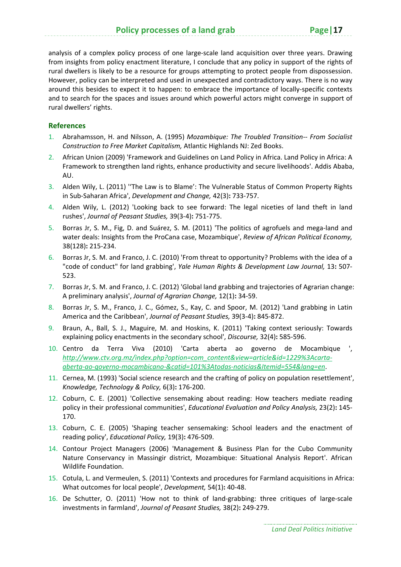analysis of a complex policy process of one large-scale land acquisition over three years. Drawing from insights from policy enactment literature, I conclude that any policy in support of the rights of rural dwellers is likely to be a resource for groups attempting to protect people from dispossession. However, policy can be interpreted and used in unexpected and contradictory ways. There is no way around this besides to expect it to happen: to embrace the importance of locally‐specific contexts and to search for the spaces and issues around which powerful actors might converge in support of rural dwellers' rights.

#### **References**

- 1. Abrahamsson, H. and Nilsson, A. (1995) *Mozambique: The Troubled Transition‐‐ From Socialist Construction to Free Market Capitalism,* Atlantic Highlands NJ: Zed Books.
- 2. African Union (2009) 'Framework and Guidelines on Land Policy in Africa. Land Policy in Africa: A Framework to strengthen land rights, enhance productivity and secure livelihoods'. Addis Ababa, AU.
- 3. Alden Wily, L. (2011) ''The Law is to Blame': The Vulnerable Status of Common Property Rights in Sub‐Saharan Africa', *Development and Change,* 42(3)**:** 733‐757.
- 4. Alden Wily, L. (2012) 'Looking back to see forward: The legal niceties of land theft in land rushes', *Journal of Peasant Studies,* 39(3‐4)**:** 751‐775.
- 5. Borras Jr, S. M., Fig, D. and Suárez, S. M. (2011) 'The politics of agrofuels and mega‐land and water deals: Insights from the ProCana case, Mozambique', *Review of African Political Economy,* 38(128)**:** 215‐234.
- 6. Borras Jr, S. M. and Franco, J. C. (2010) 'From threat to opportunity? Problems with the idea of a "code of conduct" for land grabbing', *Yale Human Rights & Development Law Journal,* 13**:** 507‐ 523.
- 7. Borras Jr, S. M. and Franco, J. C. (2012) 'Global land grabbing and trajectories of Agrarian change: A preliminary analysis', *Journal of Agrarian Change,* 12(1)**:** 34‐59.
- 8. Borras Jr, S. M., Franco, J. C., Gómez, S., Kay, C. and Spoor, M. (2012) 'Land grabbing in Latin America and the Caribbean', *Journal of Peasant Studies,* 39(3‐4)**:** 845‐872.
- 9. Braun, A., Ball, S. J., Maguire, M. and Hoskins, K. (2011) 'Taking context seriously: Towards explaining policy enactments in the secondary school', *Discourse,* 32(4)**:** 585‐596.
- 10. Centro da Terra Viva (2010) 'Carta aberta ao governo de Mocambique ', *http://www.ctv.org.mz/index.php?option=com\_content&view=article&id=1229%3Acarta‐ aberta‐ao‐governo‐mocambicano‐&catid=101%3Atodas‐noticias&Itemid=554&lang=en*.
- 11. Cernea, M. (1993) 'Social science research and the crafting of policy on population resettlement', *Knowledge, Technology & Policy,* 6(3)**:** 176‐200.
- 12. Coburn, C. E. (2001) 'Collective sensemaking about reading: How teachers mediate reading policy in their professional communities', *Educational Evaluation and Policy Analysis,* 23(2)**:** 145‐ 170.
- 13. Coburn, C. E. (2005) 'Shaping teacher sensemaking: School leaders and the enactment of reading policy', *Educational Policy,* 19(3)**:** 476‐509.
- 14. Contour Project Managers (2006) 'Management & Business Plan for the Cubo Community Nature Conservancy in Massingir district, Mozambique: Situational Analysis Report'. African Wildlife Foundation.
- 15. Cotula, L. and Vermeulen, S. (2011) 'Contexts and procedures for Farmland acquisitions in Africa: What outcomes for local people', *Development,* 54(1)**:** 40‐48.
- 16. De Schutter, O. (2011) 'How not to think of land‐grabbing: three critiques of large‐scale investments in farmland', *Journal of Peasant Studies,* 38(2)**:** 249‐279.

*Land Deal Politics Initiative*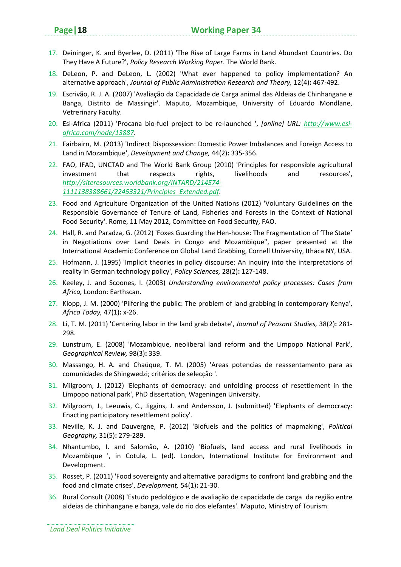- 17. Deininger, K. and Byerlee, D. (2011) 'The Rise of Large Farms in Land Abundant Countries. Do They Have A Future?', *Policy Research Working Paper*. The World Bank.
- 18. DeLeon, P. and DeLeon, L. (2002) 'What ever happened to policy implementation? An alternative approach', *Journal of Public Administration Research and Theory,* 12(4)**:** 467‐492.
- 19. Escrivão, R. J. A. (2007) 'Avaliação da Capacidade de Carga animal das Aldeias de Chinhangane e Banga, Distrito de Massingir'. Maputo, Mozambique, University of Eduardo Mondlane, Vetrerinary Faculty.
- 20. Esi‐Africa (2011) 'Procana bio‐fuel project to be re‐launched ', *[online] URL: http://www.esi‐ africa.com/node/13887*.
- 21. Fairbairn, M. (2013) 'Indirect Dispossession: Domestic Power Imbalances and Foreign Access to Land in Mozambique', *Development and Change,* 44(2)**:** 335‐356.
- 22. FAO, IFAD, UNCTAD and The World Bank Group (2010) 'Principles for responsible agricultural investment that respects rights, livelihoods and resources', *http://siteresources.worldbank.org/INTARD/214574‐ 1111138388661/22453321/Principles\_Extended.pdf*.
- 23. Food and Agriculture Organization of the United Nations (2012) 'Voluntary Guidelines on the Responsible Governance of Tenure of Land, Fisheries and Forests in the Context of National Food Security'. Rome, 11 May 2012, Committee on Food Security, FAO.
- 24. Hall, R. and Paradza, G. (2012) 'Foxes Guarding the Hen-house: The Fragmentation of 'The State' in Negotiations over Land Deals in Congo and Mozambique", paper presented at the International Academic Conference on Global Land Grabbing, Cornell University, Ithaca NY, USA.
- 25. Hofmann, J. (1995) 'Implicit theories in policy discourse: An inquiry into the interpretations of reality in German technology policy', *Policy Sciences,* 28(2)**:** 127‐148.
- 26. Keeley, J. and Scoones, I. (2003) *Understanding environmental policy processes: Cases from Africa,* London: Earthscan.
- 27. Klopp, J. M. (2000) 'Pilfering the public: The problem of land grabbing in contemporary Kenya', *Africa Today,* 47(1)**:** x‐26.
- 28. Li, T. M. (2011) 'Centering labor in the land grab debate', *Journal of Peasant Studies,* 38(2)**:** 281‐ 298.
- 29. Lunstrum, E. (2008) 'Mozambique, neoliberal land reform and the Limpopo National Park', *Geographical Review,* 98(3)**:** 339.
- 30. Massango, H. A. and Chaúque, T. M. (2005) 'Areas potencias de reassentamento para as comunidades de Shingwedzi; critérios de selecção '.
- 31. Milgroom, J. (2012) 'Elephants of democracy: and unfolding process of resettlement in the Limpopo national park', PhD dissertation, Wageningen University.
- 32. Milgroom, J., Leeuwis, C., Jiggins, J. and Andersson, J. (submitted) 'Elephants of democracy: Enacting participatory resettlement policy'.
- 33. Neville, K. J. and Dauvergne, P. (2012) 'Biofuels and the politics of mapmaking', *Political Geography,* 31(5)**:** 279‐289.
- 34. Nhantumbo, I. and Salomão, A. (2010) 'Biofuels, land access and rural livelihoods in Mozambique ', in Cotula, L. (ed). London, International Institute for Environment and Development.
- 35. Rosset, P. (2011) 'Food sovereignty and alternative paradigms to confront land grabbing and the food and climate crises', *Development,* 54(1)**:** 21‐30.
- 36. Rural Consult (2008) 'Estudo pedológico e de avaliação de capacidade de carga da região entre aldeias de chinhangane e banga, vale do rio dos elefantes'. Maputo, Ministry of Tourism.

*Land Deal Politics Initiative*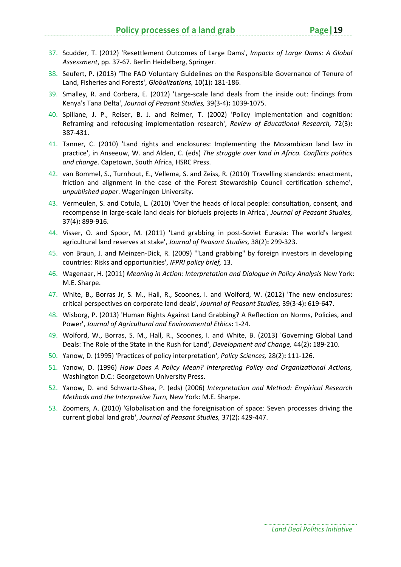- 37. Scudder, T. (2012) 'Resettlement Outcomes of Large Dams', *Impacts of Large Dams: A Global Assessment*, pp. 37‐67. Berlin Heidelberg, Springer.
- 38. Seufert, P. (2013) 'The FAO Voluntary Guidelines on the Responsible Governance of Tenure of Land, Fisheries and Forests', *Globalizations,* 10(1)**:** 181‐186.
- 39. Smalley, R. and Corbera, E. (2012) 'Large‐scale land deals from the inside out: findings from Kenya's Tana Delta', *Journal of Peasant Studies,* 39(3‐4)**:** 1039‐1075.
- 40. Spillane, J. P., Reiser, B. J. and Reimer, T. (2002) 'Policy implementation and cognition: Reframing and refocusing implementation research', *Review of Educational Research,* 72(3)**:** 387‐431.
- 41. Tanner, C. (2010) 'Land rights and enclosures: Implementing the Mozambican land law in practice', in Anseeuw, W. and Alden, C. (eds) *The struggle over land in Africa. Conflicts politics and change*. Capetown, South Africa, HSRC Press.
- 42. van Bommel, S., Turnhout, E., Vellema, S. and Zeiss, R. (2010) 'Travelling standards: enactment, friction and alignment in the case of the Forest Stewardship Council certification scheme', *unpublished paper*. Wageningen University.
- 43. Vermeulen, S. and Cotula, L. (2010) 'Over the heads of local people: consultation, consent, and recompense in large‐scale land deals for biofuels projects in Africa', *Journal of Peasant Studies,* 37(4)**:** 899‐916.
- 44. Visser, O. and Spoor, M. (2011) 'Land grabbing in post-Soviet Eurasia: The world's largest agricultural land reserves at stake', *Journal of Peasant Studies,* 38(2)**:** 299‐323.
- 45. von Braun, J. and Meinzen‐Dick, R. (2009) '"Land grabbing" by foreign investors in developing countries: Risks and opportunities', *IFPRI policy brief,* 13.
- 46. Wagenaar, H. (2011) *Meaning in Action: Interpretation and Dialogue in Policy Analysis* New York: M.E. Sharpe.
- 47. White, B., Borras Jr, S. M., Hall, R., Scoones, I. and Wolford, W. (2012) 'The new enclosures: critical perspectives on corporate land deals', *Journal of Peasant Studies,* 39(3‐4)**:** 619‐647.
- 48. Wisborg, P. (2013) 'Human Rights Against Land Grabbing? A Reflection on Norms, Policies, and Power', *Journal of Agricultural and Environmental Ethics***:** 1‐24.
- 49. Wolford, W., Borras, S. M., Hall, R., Scoones, I. and White, B. (2013) 'Governing Global Land Deals: The Role of the State in the Rush for Land', *Development and Change,* 44(2)**:** 189‐210.
- 50. Yanow, D. (1995) 'Practices of policy interpretation', *Policy Sciences,* 28(2)**:** 111‐126.
- 51. Yanow, D. (1996) *How Does A Policy Mean? Interpreting Policy and Organizational Actions,* Washington D.C.: Georgetown University Press.
- 52. Yanow, D. and Schwartz‐Shea, P. (eds) (2006) *Interpretation and Method: Empirical Research Methods and the Interpretive Turn,* New York: M.E. Sharpe.
- 53. Zoomers, A. (2010) 'Globalisation and the foreignisation of space: Seven processes driving the current global land grab', *Journal of Peasant Studies,* 37(2)**:** 429‐447.